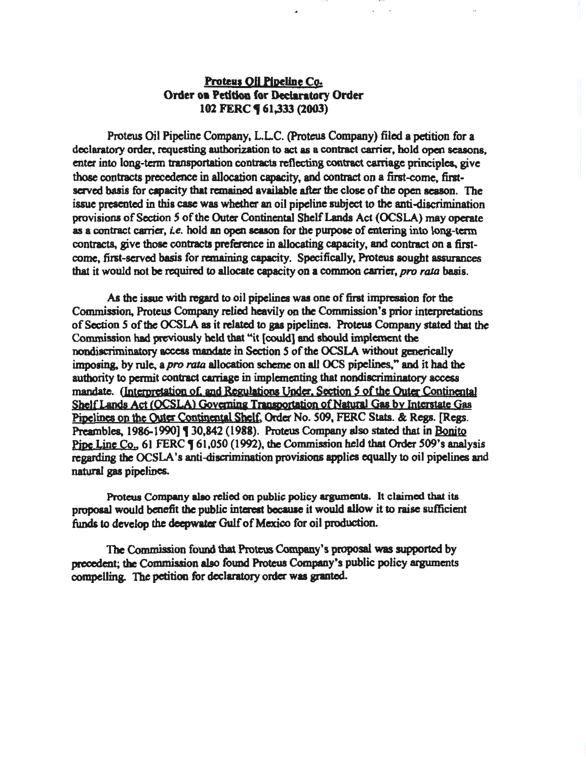# Proteus Oil Pipeline Co. Order oa Peddoa for Dedantory Order 102 FERC **9** 61.333 (2003)

Proteus Oil Pipeline Company, L.LC. (Proteus Company) filed a petition for a declaratory order, requesting authorization to act as a contract carrier, hold open seasons, enter into long-term transportation contracts reflecting contract caniage principles., give those contracts precedence in allocation capacity, and contract on a first-come, firstserved basis for capacity that remained available after the close of the open season. The issue presented in this case was whether an oil pipeline subject to the anti-discrimination provisions of Section *5* of the Outer Continental Shelf Lands Act (OCSLA) may operate as a contract carrier, *i.e.* hold an open season for the purpose of entering into long-term contracts, give those contracts preference in allocating capacity, and contract on a firstcome, first-served basis for remaining capacity. Specifically, Proteus sought assurances that it would not be required to allocate capacity on a common carrier, pro rata basis.

As the issue with regard to oil pipelines was one of first impression for the Commission, Proteus Company relied heavily on the Commission's prior interpretations of Section 5 of the OCSLA as it related to gas pipelines. Proteus Company stated that the Commission had previously held that "it [could] and should implement the nondiscriminatory access mandate in Section *5* of the OCSLA without generically imposing, by rule, a *pro rata* allocation scheme on all OCS pipelines," and it had the authority to pennit contract carriage in implementing that nondiacriminatory acccsa mandate. (Interpretation of. and Regulations Under, Section 5 of the Outer Continental Shelf Lands Act (OCSLA) Governing Transportation of Natural Gas by Interstate Gas Pipelines on the OUter Continental Sbclt: Order No. *509,* PERC Stats. & Regs. [Regs. Preambles, 1986-1990] J 30,842 (1988). Proteus Company also stated that in Bonito Pipe Line Co., 61 FERC **[61,050 (1992)**, the Commission held that Order 509's analysis regarding the OCSLA's anti-discrimination provisions applies equally to oil pipelines and natural gas pipelines.

Proteus Company a1ao relied on public policy arguments. It claimed that its proposal would benefit the public interest because it would allow it to raise sufficient funds to develop the deepwater Gulf of Mexico for oil production.

The Commission found tbat Proteus Company's proposal was supported by precedent; the Commission also found Proteus Company's public policy arguments compelling. The petition for declaratory order was granted.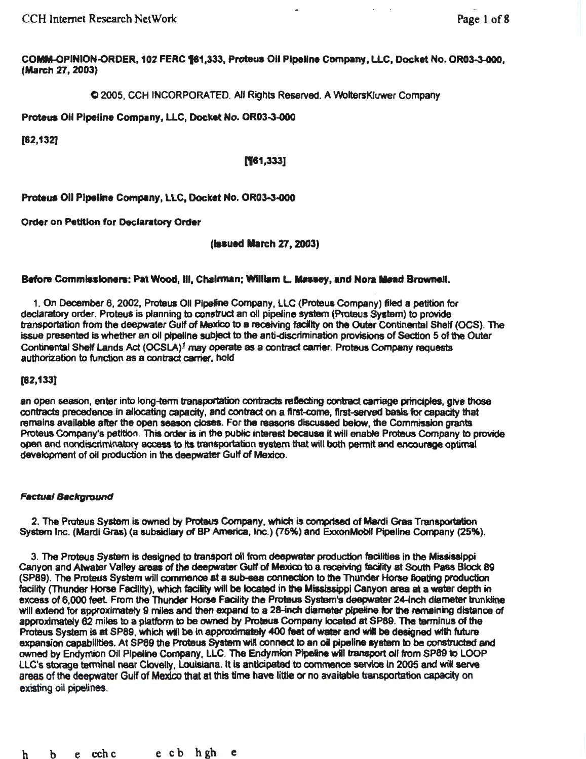CCH Internet Research NetWork Page I of8

COMM-OPINION-ORDER, 102 FERC 161,333, Proteus Oil Pipeline Company, LLC, Docket No. OR03-3-000, (March 27, 2003)

C> 2005, CCH INCORPORATED. All Rights Reserved. A WoltersKJuwer Company

Proteus Oil Pipeline Company, LLC, Docket No. OR03-3-000

[82,132]

(161,333]

Proteus Oil Pipeline Company, LLC, Docket No. OR03-3-000

Order on Petttlon for Declaratory Order

(lnued March *XT,* 2003)

#### Before Commissioners: Pat Wood, III, Chairman; William L. Massey, and Nora Mead Brownell.

1. On December 6, 2002, Proteus Oil Plpelne Company, LLC (Proteus Company) filed a petition for declaratory order. Proteus is planning to construct an oil pipeline system (Proteus System) to provide transportation from the deepwater Gulf of Mexico to a receiving facilty on the OUter Continental Shelf (OCS). The Issue presented Is whether an oil ptpellne subject to the anti-discrimination provisions of Section 5 of the Outer Continental Sheff Lands Ad (0CSLA)1 may operate as a contract carrier. Proteus Company requests authorization to function as a contract carrier, hold

#### [82,133]

an open season, enter into long-term transportation contracts reflecting contract carriage principles, give those contracts precedence in allocating capacity, and contract on a first-come. first-served basis for capacity that remains available after the open season closes. For the reaaona discussed below, the Commission grants Proteus Company's petition. This order is in the public interest because it will enabfe Proteus Company to provide open and nondiscriminatory access to its transportation system that will both permit and encourage optimal development of oil production in the deepwater Gulf of Mexico.

#### **Factual Background**

2. The Proteus System is owned by Prctaus Company, which is comprised of Matdi Gras Transportation System Inc. (Mardi Gras) (a subsidiary of BP America, Inc.) (75%) and ExxonMobil Pipeline Company (25%).

3. The Proteus System ts designed to transport oil from deepwater production facilities in the Mississippi Canyon and Atwater Valley areas of the deepwater Gulf of Mexico to a receiving facility at South Pass Block 89 (SP89). The Proteus System will commence at a sub-sea connection to the Thunder Horse floating production facility (Thunder Horse Facility), which facility will be located in the Mississippi Canyon area at a water depth in excess of 6,000 feet. From the Thunder Horse Facility the Proteus System's deepwater 24-inch diameter trunkline will extend for approximately 9 miles and then expand to a 28-inch diameter pipeline for the remaining distance of approximately 62 miles to a platform to be owned by Proteus Company located at SP89. The terminus of the Proteus System is at SP89. which will be in approximately 400 feet of watar and will be designed with future expansion capabilities. At SP89 the Proteus System will connect to an oil pipeline system to be constructed and owned by Endymion Oil Pipeline Company, LLC. The Endymion Pipeline will transport oil from SP89 to LOOP LLC's storage terminal near Clovelly, Louisiana. It is anticipated to commence service in 2005 and will serve areas of the deepwater Gulf of Mexico that at this time have little or no available transportation capacity on existing oil pipelines.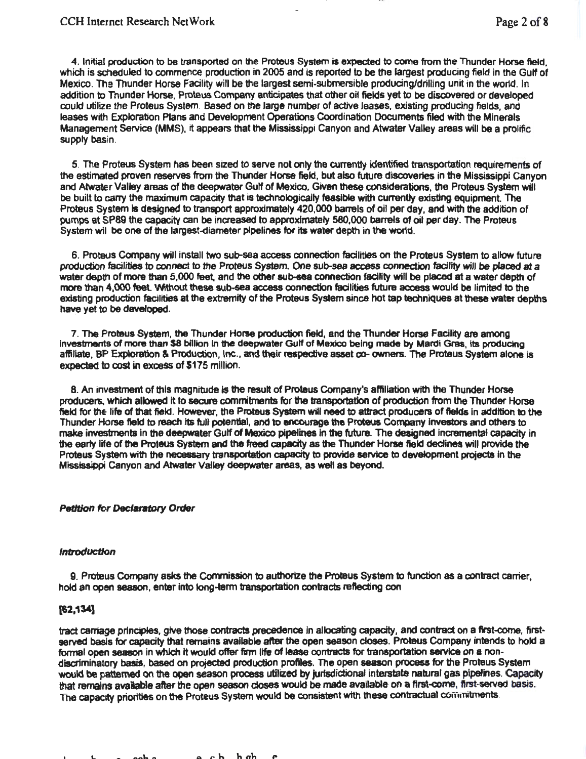4. Initial production to be transported on the Proteus System is expected to come from the Thunder Horse field. which is scheduled to commence production in 2005 and is reported to be the largest producing field in the Gulf of Mexico. The Thunder Horse Facility will be the largest semi-submersible producing/drilling unit in the wor1d. In addition to Thunder Horse, Proteus Company anticipates that other oil fields yet to be discovered or developed could utilize the Proteus System. Based on the large number of active leases. existing producing fields, and leases with Exploration Plans and Development Operations Coordination Documents filed with the Minerals Management Service (MMS), it appears that the Mississippi Canyon and Atwater Valley areas will be a prolific supply basin.

5. The Proteus System has been sized to serve not only the currently identified transportation requirements of the estimated proven reserves from the Thunder Horse field, but also future discoveries in the Mississippi Canyon and Atwater Valley areas of the deepwater Gulf of Mexico. Given these considerations, the Proteus System will be built to carry the maximum capacity that is technologically feasible with currently existing equipment. The Proteus System Is designed to transport approximately 420,000 barrels of oil per day, and with the addition of pumps at SP89 the capacity can be increased to approximately 580,000 barrels of oiJ per day. The Proteus System wil be one of the largest-diameter pipelines for its water depth in the world.

6. Proteus Company will install two sub-sea access connection facilities on the Proteus System to allow future production facilities to connect to the Proteus System. One sub-sea access connection facility will be placed at a water depth of more than 5,000 feet, and the other sub-sea connection facility will be placed at a water depth of more than 4,000 feet. Without these sub-sea access connection facilities future access would be limited to the existing production facilities at the extremity of the Proteus System since hot tap techniques at these water depths have yet to be developed.

7. The Proteus System, the Thunder Horse production field, and the Thunder Horse Facility are among investments of more than \$8 billion in the deepwater Gulf of Mexico being made by Mardi Gras, its producing affiliate, BP Exploration & Production, Inc., and their respective asset co- owners. The Proteus System alone is expected to cost In excess of \$175 million.

8. An investment of this magnitude is the result of Proteus Company's affiliation with the Thunder Horse producers, which allowed It to secure commtments for the transpoftation of production from the Thunder Horse field for the life of that field. However, the Proteus System will need to attract producers of fields in addition to the Thunder Horse field to reach its full potential, and to encourage the Proteus Company Investors and others to make investments In the deepwater Gulf of Mexico pipelines In the future. The designed incremental capacity in the earty life of the Proteus System and the freed capacity as the Thunder Horse field dedines will provide the Proteus System with the necessary transportation capacity to provide service to development projects in the Mississippi Canyon and Atwater Valley deepwater areas, as well as beyond.

## *Petition* for *Declaratory* Order

#### Introduction

9. Proteus Company asks the Commission to authorize the Proteus System to function as a contract carrier, hold an open season, enter into long-term transportation contracts reflecting con

## (82,134]

tract carriage principles, give those contracts precedence in allocating capacity, and contract on a first-come, firstserved basis for capacity that remains available after the open season closes. Proteus Company intends to hold a formal open season in which it would offer firm life of lease contracts for transportation service on a nondisaiminatory basis, based on projected production profiles. The open season process for the Proteus System would be patterned on the open season process utilized by jurisdictional interstate natural gas pipelines. Capacity that remains available after the open season closes would be made available on a first-come, first-served basis. The capacity priorities on the Proteus System would be consistent with these contractual commitments.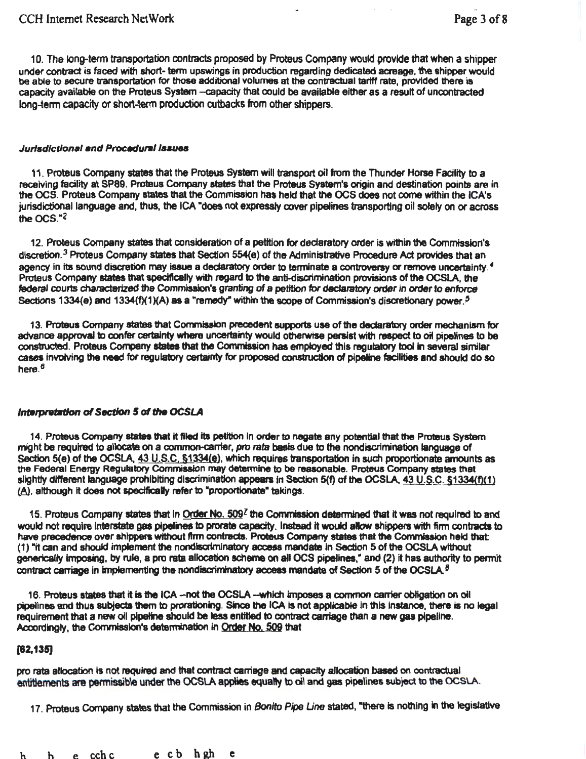10. The long-term transportation contracts proposed by Proteus Company would provide that when a shipper under contract is faced with short- term upswings in production regarding dedicated acreage, the shipper would be able to secure transportation for those additional volumes at the contractual tariff rate, provided there is capacity available on the Proteus System --capacity that could be available either as a result of uncontracted long-term capacity or short-term production cutbacks from other shippers.

#### Jurisdictional and Procedural Issues

11. Proteus Company states that the Proteus System will transport oil from the Thunder Horse Facility to a receiving facility at SP89. Proteus Company states that the Proteus System's origin and destination points are in the OCS. Proteus Company states that the Commission has held that the OCS does not come within the ICA's jurisdictional language and, thus, the ICA "does not expressly cover pipelines transporting oil solely on or across the  $OCS.$ <sup>-2</sup>

12. Proteus Company states that consideration of a petition for declaratory order is within the Commission's discretion.<sup>3</sup> Proteus Company states that Section 554(e) of the Administrative Procedure Act provides that an agency in its sound discretion may issue a declaratory order to terminate a controversy or remove uncertainty.<sup>4</sup> Proteus Company states that specifically with regard to the anti-discrimination provisions of the OCSLA, the federal courts characterized the Commission's granting of a petition for declaratory order in order to enforce Sections 1334 $(e)$  and 1334 $(f)(1)(A)$  as a "remedy" within the scope of Commission's discretionary power.<sup>5</sup>

13. Proteus Company states that Commission precedent supports use of the declaratory order mechanism for advance approval to confer certainty where uncertainty would otherwise persist with respect to oil pipelines to be constructed. Proteus Company states that the Commission has employed this regulatory tool in several similar cases Involving the need for regulatory certainty for proposed construction of pipeline facilities and should do so here. 8

#### Interpretation of Section 5 of the OCSLA

14. Proteus Company states that it filed its petition in order to negate any potential that the Proteus System might be required to allocate on a common-carrier, *pro rata* basis due to the nondiscrimination language of Section 5(e) of the OCSLA, 43 U.S.C, §1334(e), which requires transportation in such proportionate amounts as the Federal Energy Regutatory Commission may determine to be reasonable. Proteus Company states that slightly different language prohibiting discrimination appears in Section 5(f) of the OCSLA,  $43 U.S.C.$  §1334(f)(1) (A). although it does not specifically refer to "proportionate" takings.

15. Proteus Company states that in Order No. 509<sup>7</sup> the Commission determined that it was not required to and would not require Interstate gas pipelines to prorate capacity. Instead it would alow shippers with firm contracts to have precedence over shippers without firm contracts. Proteus Company states that the Commission held that: (1) "it can and should implement the nondiscriminatory access mandate in Section 5 of the OCSLA without generically imposing, by rule, a pro rata allocation scheme on all OCS pipelines," and (2) it has authority to permit contract carriage in implementing the nondiscriminatory access mandate of Section 5 of the OCSLA.<sup>8</sup>

16. Proteus states that it is the ICA -- not the OCSLA --which imposes a common carrier obligation on oil pipelines and thus subjects them to prorationing. Since the ICA is not applicable in this instance, there is no legal requirement that a new oil pipeline should be less entitled to contract carriage than a new gas pipeline. Accordingly, the Commission's determination in Order No. 509 that

## [82,135)

pro rata allocation Is not required and that contract carriage and capactty allocation based on contractual entitlements are permissible under the OCSLA appliers equally to oil and gas pipelines subject to the OCSLA.

17. Proteus Company states that the Commission in *Bonito Pipe Une* stated, "there is nothing In the legislative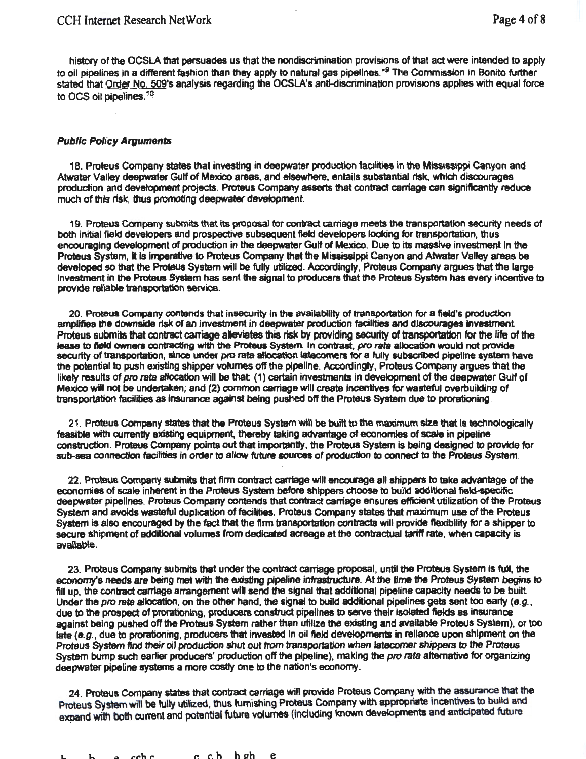history of the OCSLA that persuades us that the nondiscrimination provisions of that act were intended to apply to oil pipelines in a different fashion than they apply to natural gas pipelines.'' 9 The Commission in Bonito further stated that Qrder No. 509's analysis regarding the OCSLA's anti-discrimination provisions applies with equal force to OCS oil pipelines.<sup>10</sup>

## Public Policy Arguments

18. Proteus Company states that investing in deepwater production facilities in the Mississippi Canyon and Atwater Valley deepwater Gulf of Mexico areas, and efsewhere, entails substantial risk., which discourages production and development projects. Proteus Company asserts that contract carriage can significantly reduce much of thts risk, thus promoting deepwater devetopment

19. Proteus Company submits that Its proposal for contract carriage meets the transportation security needs of both initial field developers and prospective subsequent field developers looking for transportation, thus encouraging development of production in the deepwater Gulf of Mexioo. Due to its massive investment in the Proteus Sys1Bm, it Is imperative to Proteus Company that the Mississippi Canyon and Atwater Valley areas be developed so that the Proteus System will be fully utilized. Accordingly, Proteus Company argues that the large investment in the Proteus System has sent the signal to producers that the Proteus System has every incentive to provide rellable transportation service.

20. Proteus Company contends that insecurity in the availability of transportation for a field's production amplifies the downside risk of an investment in deepwater production facilities and discourages investment. Proteus submits that contract carriage aleviates this risk by providing security of transportation for the life of the lease to field owners contracting with the Proteus System. In contrast, *pro rata* allocation would not provide security of transportation, since under pro rata allocation latecomers for a fully subscribed pipeline system have the potential to push existing shipper volumes off the pipeline. Accordingly, Proteus Company argues that the likely results of *pro rata allocation will be that: (1)* certain investments in development of the deepwater Gulf of Mexico will not be undertaken; and (2) common carriage will create incentives for wasteful overbuilding of transportation facilities as insurance against being pushed off the Proteus System due to prorationing.

21 . Proteus Company states that the Proteus System will be built to the maximum size that is technologically feasible with currently existing equipment, thereby taking advantage of economies of scale in pipeline construction. Proteus Company points out that importantly, the Proteus System is being designed to provide for sub-sea connection facilities in order to allow future sources of production to connect to the Proteus System.

22. Proteus Company submits that firm contract carriage will encourage all shippers to take advantage of the economies of scale inherent in the Proteus System before shippers choose to build additional field-specific deepwater pipelines. Proteus Company contends that contract carriage ensures efficient Utilization of the Proteus System and avoids wasteful duplication of facilities. Proteus Company states that maximum use of the Proteus System is also encouraged by the fact that the firm transportation contracts will provide flexibility for a shipper to secure shipment of additional volumes from dedicated acreage at the contractual tariff rate. when capacity is available.

23. Proteus Company submits that under the contract carnage proposal, until the Proteus System is full, the economy's needs are being met with the existing pipeline infrastructure. At the time the Proteus System begins to fill up, the contract carriage arrangement will send the signal that additional pipeline capacity needs to be built. Under the pro rata allocation, on the other hand, the signal to build additional pipelines gets sent too early  $(e.g.,)$ due to the prospect of prorationing, producers construct pipelines to serve their isolated fields as insurance against being pushed off the Proteus System rather than utilize the existing and available Proteus System), or too late  $(e, a)$ , due to prorationing, producers that invested in oil field developments in reliance upon shipment on the Proteus System find their oil production shut out from transportation when latecomer shippers to the Proteus System bump such earlier producers' production off the pipeline), making the *pro rata* alternative for organizing deepwater pipeline systems a more costly one to the nation's economy.

24. Proteus Company states that contract carriage will provide Proteus Company with the assurance that the Proteus System will be fully utilized, thus furnishing Proteus Company with appropriate incentives to build and expand with both current and potential future volumes (including known developments and anticipated future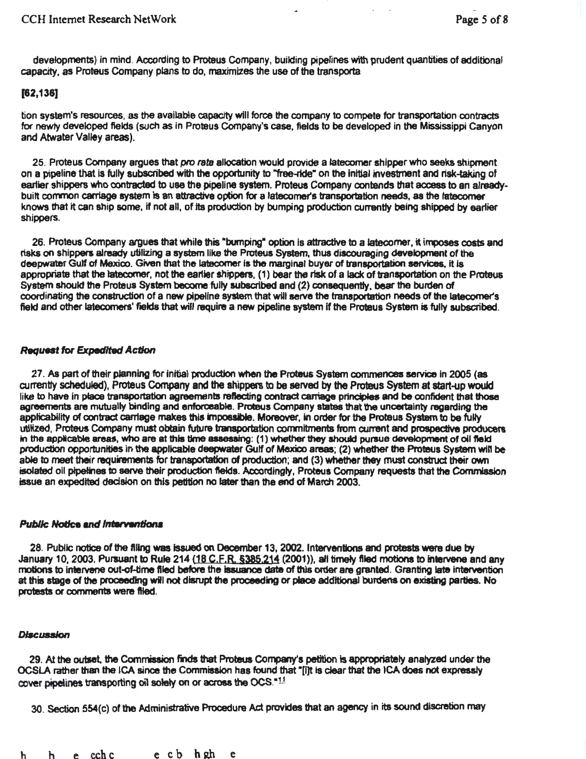developments) in mind. According to Proteus Company, building pipelines with prudent quantities of additional capacity, as Proteus Company plans to do, maximizes the use of the transporta

# [62.136]

tion system's resources, as the available capacity will force the company to compete for transportation contracts for newty developed fields (such as in Proteus Company's case, fields to be developed in the Mississippi Canyon and Atwater Valley areas).

25. Proteus Company argues that *pro rata* allocation would provide a latecomer shipper who seeks shipment on a pipeline that is fully subscribed with the opportunity to "free-ride" on the initial investment and risk-taking of earlier shippers who contracted to use the pipeline system. Proteus Company contends that access to an alreadybuilt common carriage system is an attractive option for a latecomer's transportation needs, as the latecomer knows that it can ship some, if not all, of its production by bumping production currently being shipped by earlier shippers.

26. Proteus Company argues that while this "bumping" option is attractive to a latecomer, it imposes costs and risks on shippers already utilizing a system like the Proteus System, thus discouraging development of the deepwater Gulf of Mexico. Given that the latecomer is the marginal buyer of transportation services, it is appropriate that the latecomer, not the eartier shippers, (1) bear the risk of a lack of transportation on the Proteus System should the Proteus System become fully subscribed and (2) consequently, bear the burden of coordinating the construction of a new pipeline system that will serve the transportation needs of the latecomer's field and other latecomers' fields that will require a new pipeline system if the Proteus System is fully subscribed.

# **Request for Expedited Action**

27. As part of their planning for initial production when the Proteus System commences service in 2005 (as anrentty scheduled), Proteus Company and the shippers to be served by the Proteus System at start-up would like to have in place transportation agreements reflecting contract carriage principles and be confident that those agreements are mutually binding and enforceable. Proteus Company states that the uncertainty regarding the applicability of contract carriage makes this impossible. Moreover, in order for the Proteus System to be fully utilized,. Proteus Company must obtain future transportation commitments from current and prospective producers in the applicable areas, who are at this time assessing: (1) whether they should pursue development of oil field production opportunities in the applicable deepwater Gulf of Mexico areas; (2) whether the Proteus System will be able to meet their requirements for transportation of production; and (3) whether they must construct their own isolated oil pipelines to serve their production fields. Accordingly, Proteus Company requests that the Commission issue an expedited decision on this petition no later than the end of March 2003.

## **Public Notice and Interventions**

28. Public notice of the filing was issued on December 13, 2002. lntetventiona and protests ware due by January 10, 2003. Pursuant to Rule 214 (18 C, F, R, §385, 214 (2001)), all timely filed motions to intervene and any 28. Public notice of the filing was issued on December 13, 2002. Interventions and protests were due by<br>January 10, 2003. Pursuant to Rule 214 (1<u>8 C.F.R. §385,214</u> (2001)), all timely filed motions to intervene and any<br>m at this stage of the proceeding will not disrupt the proceeding or place addttional burdens on existing parties. No protests or comments were filed.

## **Discussion**

29. At the outset, the Commission finds that Proteus Company's petition is appropriately analyzed under the OCSLA rather than the ICA since the Commission has found that •[i]t is clear that the ICA does not expressly cover pipelines transporting oil solely on or across the OCS.<sup>\*1.5</sup>

30. Section 554(c) of the Administrative Procedure Act provides that an agency in its sound discretion may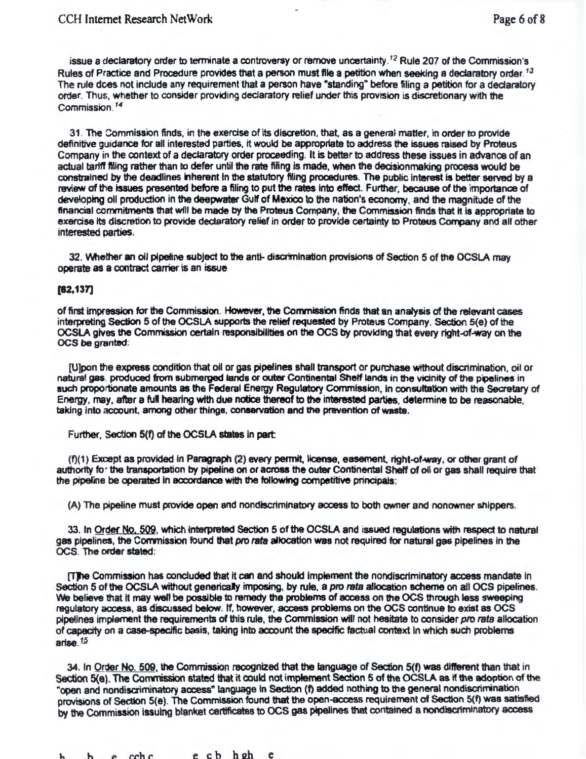issue a declaratory order to terminate a controversy or remove uncertainty.<sup>12</sup> Rule 207 of the Commission's Rules of Practice and Procedure provides that a person must file a petition when seeking a declaratory order.<sup>13</sup> The rule dces not include any requirement that a person have "standing" before filing a petition for a declaratory order. Thus. whether to consider providing declaratory relief under this provision is discretionary with the Commission. 14

31. The Commission finds, in the exercise of its discretion, that, as a general matter, in order to provide definitive guidance for all interested parties, it would be appropriate to address the issues raised by Proteus Company in the context of a declaratory order proceeding. It is better to address these issues in advance of an actual tartff ftllng rather than to defer until the rate fifing is made, when the dedsionmaking process would be constrained by the deadlines inherent in the statutory filing procedures. The public interest is better served by a review of the issues presented before a filing to put the rates into effect. Further, because of the importance of developing oil production in the deepwater Gulf of Mexico to the nation's economy, and the magnitude of the financial commitments that wfll be made by the Proteus Company, the Commission finds that It Is appropriate to exercise its discretion to provide declaratory relief in order to provide certainty to Proteus Company and all other interested parties.

32. Whether an oil pipeline subject to the anti- discrimination provisions of Section 5 of the OCSLA may operate as a contract carrier is an issue

#### $[62, 137]$

of first Impression for the Commission. However, the Conmission finds that an analysis of the relevant cases interpreting Section 5 of the OCSLA supports the relief requested by Proteus Company. Section 5(e) of the OCSlA gives the Commission certain responsibilities on the OCS by providing that every right-of-way on the OCS be granted:

[U]pon the express condition that oil or gas pipelines shall transport or purchase without discrimination, oil or natural gas. produced from submerged lands or outer Continental Shelf lands in the vicinity of the pipelines in such proportionate amounts as the Federal Energy Regulatory Commission, In consultation with the Secretary of Energy, may, after a full hearing with due notice thereof to the interested parties, determine to be reasonable. taklng into account. among other things, conservation and the pravention of waste.

Further, Section 5(f) of the OCSLA states in part:

(f)(1) Except as provided in Paragraph (2) every permit, license, easement, right-of-way, or other grant of authority to· the transportation by pipeline on or across the outer Continental Sheff of oil or gas shall require that the pipeline be operated in accordance with the following competitive principals:

(A) The pipeline must provide open and nondiscriminatory access to both owner and nonowner shippers.

33. In Order No, 509, which interpreted Section 5 of the OCSLA and issued regulations with respect to natural gas pipelines, the Commission found that pro rata allocation was not required for natural gas pipelines in the OCS. The order stated:

[T] the Commission has concluded that it can and should implement the nondiscriminatory access mandate in Section 5 of the OCSLA without generically imposing, by rule, a *pro rata* allocation scheme on all OCS pipelines. We believe that it may well be possible to remedy the problems of access on the OCS through less sweeping regulatory access, as discussed below. If, however, access problems on the OCS continue to exist as OCS pipelines implement the requirements of this rule, the Commission will not hesitate to consider pro rata allocation of capacity on a case-specific basis, taking Into account the specific factual context In which such problems artse.<sup>15</sup>

34. In Qrder No. 509, the Commission recognized that the language of Section 5(f) was different than that in Section 5(e). The Commission stated that it could not implement Section 5 of the OCSLA as if the adoption of the "open and nondiscriminatory access" language in Section (f) added nothing to the general nondiscrimination provisions of Section 5(e). The Commission found that the open-access requirement of Section 5(f) was satisfied by the Commission issuing blanket certificates to OCS gas pipelines that contained a nondiscriminatory access

h e cchc e cb hgh e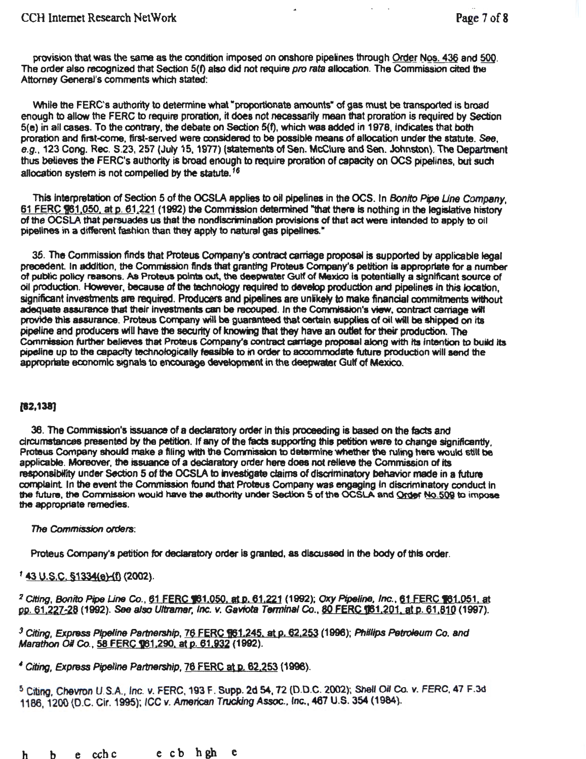provision that was the same as the condition imposed on onshore pipelines through Order Nos. 436 and 500. The order also recognized that Section 5(f) also did not require pro rata allocation. The Commission cited the Attorney General's comments which stated:

While the FERC's authority to determine what "proportionate amounts" of gas must be transported is broad enough to allow the FERC to require proration, it does not necessarily mean that proration is required by Section 5(e) in all cases. To the contrary, the debate on Section S{f), which was added in 1978, indicates that both proration and first-come, first-served were considered to be possible means of allocation under the statute. See, e.g., 123 Cong. Rec. S.23, 257 (July 15, 1977) (statements of Sen. McClure and Sen. Johnston). The Department thus believes the FERC's authority is broad enough to require proration of capacity on OCS pipelines, but such allocation system is not compelled by the statute.<sup>16</sup>

This interpretation of Section 5 of the OCSLA applies to oil pipelines in the OCS. In Bonito Pipe Line Company, 61 FERC \$61.050, at p. 61.221 (1992) the Commission determined "that there is nothing in the legislative history of the OCSLA that persuades us that the nondiscrimination provisions of that act were intended to apply to oil pipelines in a different fashion than they apply to natural gas pipelines."

35. The Commission finds that Proteus Company's contract carriage proposal is supported by applicable legal precedent In addition, the Commission finds that granting Proteus Company's petition is appropriate for a number of pubtic policy reasons. As Proteus points out. the deepwater Gulf of Mexico Is potentially a significant source of oil production. However, because of the technology required to develop production and pipelines in this location, significant investments are required. Producers and pipelines are unlikely to make financial commitments without adequate assurance that their Investments can be recouped. In the Commisalon's view, contract carriage wift provide this assurance. Proteus Company will be guaranteed that certain supplies of oil will be shipped on its pipefine and producers wiU have the securtty of knowing that they have an outlet for their production. The Commission further believes that Proteus Company's contract carriage proposal along with its intention to build its pjpeJine up to the capacity technotogicalty feasible to in order to aocommodate future production will send the appropriate economic signals to encourage development in the deepwater Gulf of Mexico.

## [62,138]

36. The Commission's issuance of a declaratory order In this proceeding is based on the facts and circumstances presented by the petition. If any of the facts supporting this petition were to change signiffcantty. Proteus Company should make a filing with the Commission to determine whether the ruling here would still be applicable. Moreover, the issuance of a declaratory order here does not relieve the Commission of Its responsibility under Section 5 of the OCSIA to Investigate claims of discriminatory behavior made in a future comptalnt. In the event the Commission found that Proteus Company was engaging In discriminatory conduct In the future, the Commission would have the authority under Section 5 of the OCSLA and Order No.509 to impose the appropriate remedies.

## *The* Commission orders:

Proteus Company's petition for declaratory order is granted, as discussed in the body of this order.

# $143$  U.S.C. §1334(e)-(f) (2002).

<sup>2</sup> Citing, Bonito Pipe Line Co., 61 FERC 161,050, at p. 61,221 (1992); Oxy Pipeline, Inc., 61 FERC 161,051, at pp. 61.227-28 (1992). See also *Ultramar, Inc. v. Gaviota Terminal Co.*, 80 FERC 161.201. at p. 61.810 (1997).

*3* Citing, Express Pipeline *Partnership,* 76 FERC 161 .245. at p. 62,253 (1996); Phillips Petroleum *Co. and*  Marathon *Oil Co.*, 58 FERC **9**61,290, at p. 61,932 (1992).

<sup>4</sup>Citing, Express Pipeline Partnership, 76 FERC at p. 62,253 (1996).

~Citing, Chevron U.S.A., Inc. v. FERC, 193 f . Supp. 2d 54,72 (O.D.C. 2002)~ Shell *Oil* Co. *v.* FERC, 47 F.3d 1186, 1200 (D.C. Cir. 1995); ICC v. American Trucking Assoc., Inc., 467 U.S. 354 (1984).